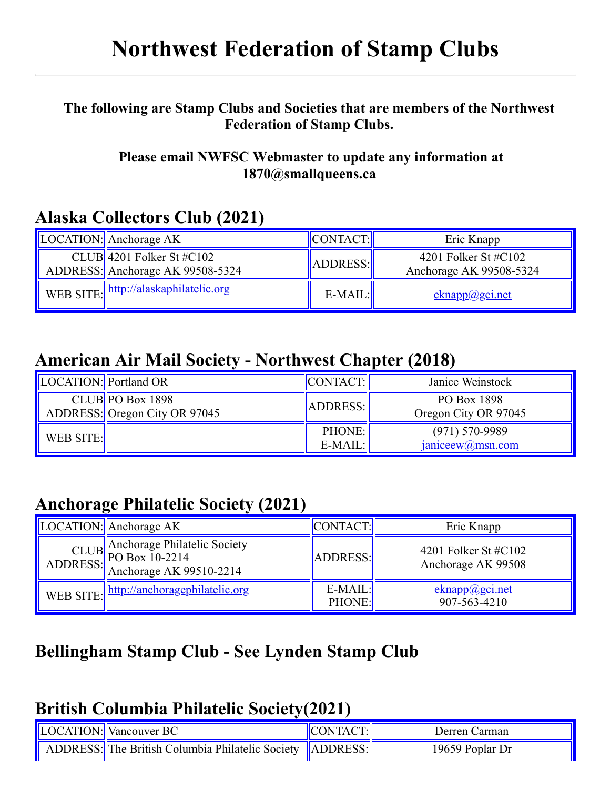# **Northwest Federation of Stamp Clubs**

#### **The [fol](file:///C:/Users/barb/Downloads/index.html)lowing [are](file:///C:/Users/barb/Downloads/bofd.html) Stam[p C](file:///C:/Users/barb/Downloads/clubs.html)lubs an[d S](file:///C:/Users/barb/Downloads/awards.html)ocietie[s th](file:///C:/Users/barb/Downloads/shows.html)at are [me](file:///C:/Users/barb/Downloads/newsletters.html)mbers o[f th](http://get.adobe.com/reader/)e Northwest Federation of Stamp Clubs.**

#### **Please email NWFSC Webmaster to update any information at 1870@smallqueens.ca**

#### **Alaska Collectors Club (2021)**

| LOCATION: Anchorage AK                                        | CONTACT:  | Eric Knapp                                         |
|---------------------------------------------------------------|-----------|----------------------------------------------------|
| CLUB 4201 Folker St #C102<br>ADDRESS: Anchorage AK 99508-5324 | ADDRESS:  | 4201 Folker St $\#C102$<br>Anchorage AK 99508-5324 |
| WEB SITE:   http://alaskaphilatelic.org                       | $E-MAIL:$ | eknapp@gci.net                                     |

#### **American Air Mail Society - Northwest Chapter (2018)**

| LOCATION: Portland OR |                                                     | <b>CONTACT:</b>            | Janice Weinstock                          |
|-----------------------|-----------------------------------------------------|----------------------------|-------------------------------------------|
|                       | $CLUB$ PO Box 1898<br>ADDRESS: Oregon City OR 97045 | ADDRESS:                   | PO Box 1898<br>Oregon City OR 97045       |
| WEB SITE:             |                                                     | <b>PHONE:</b><br>$E-MAIL:$ | $(971)$ 570-9989<br>$janiceew(a)$ msn.com |

#### **Anchorage Philatelic Society (2021)**

| $\vert$ LOCATION: $\vert$ Anchorage AK                                                  | CONTACT:                   | Eric Knapp                                    |
|-----------------------------------------------------------------------------------------|----------------------------|-----------------------------------------------|
| CLUB Anchorage Philatelic Society<br>ADDRESS: PO Box 10-2214<br>Anchorage AK 99510-2214 | ADDRESS:                   | 4201 Folker St $\#C102$<br>Anchorage AK 99508 |
| WEB SITE:   http://anchoragephilatelic.org                                              | $E-MAIL:$<br><b>PHONE:</b> | eknapp@gci.net<br>907-563-4210                |

### **Bellingham Stamp Club - See Lynden Stamp Club**

#### **British Columbia Philatelic Society(2021)**

| <b>LOCATION:</b> Vancouver BC                               | $ $ CONTACT: $ $ | Derren Carman   |
|-------------------------------------------------------------|------------------|-----------------|
| ADDRESS: The British Columbia Philatelic Society   ADDRESS: |                  | 19659 Poplar Dr |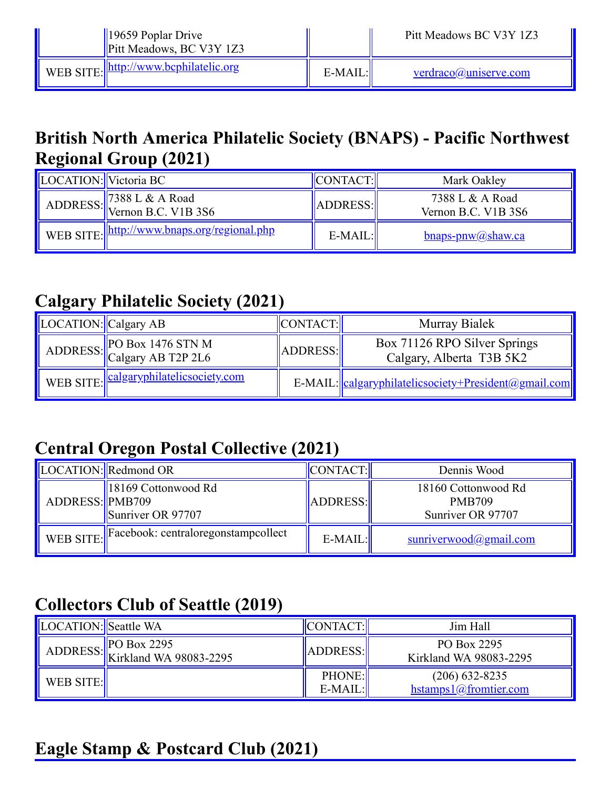| $\parallel$ 19659 Poplar Drive<br>Pitt Meadows, BC V3Y 1Z3 |           | Pitt Meadows BC V3Y 1Z3 |
|------------------------------------------------------------|-----------|-------------------------|
| WEB SITE:   http://www.bcphilatelic.org                    | $E-MAIL:$ | verdraco@uniserve.com   |

#### **British North America Philatelic Society (BNAPS) - Pacific Northwest Regional Group (2021)**

| LOCATION: Victoria BC |                                                                                                        | <b>CONTACT:</b> | Mark Oakley                            |
|-----------------------|--------------------------------------------------------------------------------------------------------|-----------------|----------------------------------------|
|                       | ADDRESS: $\begin{array}{ l} 7388 \text{ L} \& \text{A Road} \\ \text{Vernon B.C. V1B 3S6} \end{array}$ | ADDRESS:        | 7388 L & A Road<br>Vernon B.C. V1B 3S6 |
|                       | WEB SITE: http://www.bnaps.org/regional.php                                                            | $E-MAIL:$       | $bnaps-pnw@shaw.ca$                    |

#### **Calgary Philatelic Society (2021)**

| LOCATION: Calgary AB |                                                  | CONTACT: | Murray Bialek                                            |
|----------------------|--------------------------------------------------|----------|----------------------------------------------------------|
|                      | ADDRESS: PO Box 1476 STN M<br>Calgary AB T2P 2L6 | ADDRESS: | Box 71126 RPO Silver Springs<br>Calgary, Alberta T3B 5K2 |
|                      | WEB SITE: calgaryphilatelicsociety.com           |          | E-MAIL: calgaryphilatelicsociety+President@gmail.com     |

## **Central Oregon Postal Collective (2021)**

|                 | LOCATION: Redmond OR                          | CONTACT:   | Dennis Wood                                               |
|-----------------|-----------------------------------------------|------------|-----------------------------------------------------------|
| ADDRESS: PMB709 | 18169 Cottonwood Rd<br>Sunriver OR 97707      | ADDRESS:   | 18160 Cottonwood Rd<br><b>PMB709</b><br>Sunriver OR 97707 |
|                 | WEB SITE: Facebook: centraloregonstampcollect | $E-MAIL$ : | $s$ unriverwood@gmail.com                                 |

### **Collectors Club of Seattle (2019)**

| <b>LOCATION:</b> Seattle WA |                                                                                                     | CONTACT:                   | Jim Hall                                  |
|-----------------------------|-----------------------------------------------------------------------------------------------------|----------------------------|-------------------------------------------|
|                             | ADDRESS: $\begin{matrix} 180 & 2295 \\ 160 & 160 \\ 160 & 160 \end{matrix}$ Exirkland WA 98083-2295 | ADDRESS:                   | PO Box 2295<br>Kirkland WA 98083-2295     |
| WEB SITE:                   |                                                                                                     | <b>PHONE:</b><br>$E-MAIL:$ | $(206)$ 632-8235<br>hstamps1@fromtier.com |

### **Eagle Stamp & Postcard Club (2021)**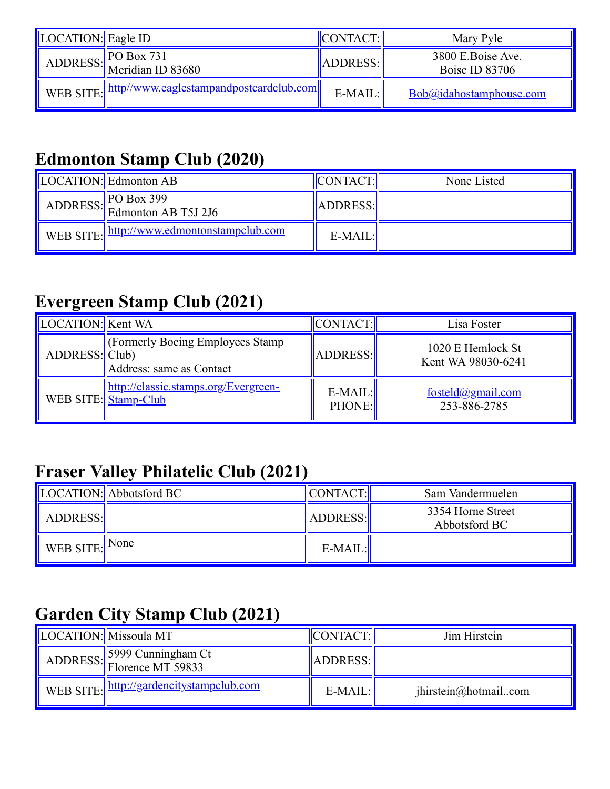| LOCATION: Eagle ID |                                                      | <b>CONTACT:</b> | Mary Pyle                                  |
|--------------------|------------------------------------------------------|-----------------|--------------------------------------------|
|                    | ADDRESS: $PO Box 731$<br>Meridian ID 83680           | ADDRESS:        | 3800 E.Boise Ave.<br><b>Boise ID 83706</b> |
|                    | WEB SITE:   http://www.eaglestampandpostcardclub.com | $E-MAIL:$       | Bob@idahostamphouse.com                    |

## **Edmonton Stamp Club (2020)**

| LOCATION: Edmonton AB                                                                                             | <b>CONTACT:</b> | None Listed |
|-------------------------------------------------------------------------------------------------------------------|-----------------|-------------|
| ADDRESS: $\begin{array}{ l }\n\hline\n\text{P0 Box 399}\n\hline\n\text{Edmonton AB T5J 2J6}\n\hline\n\end{array}$ | ADDRESS:        |             |
| WEB SITE:   http://www.edmontonstampclub.com                                                                      | $E-MAIL:$       |             |

### **Evergreen Stamp Club (2021)**

| LOCATION: Kent WA |                                                                     | CONTACT:                   | Lisa Foster                             |
|-------------------|---------------------------------------------------------------------|----------------------------|-----------------------------------------|
| ADDRESS: Club)    | Cormerly Boeing Employees Stamp<br>Address: same as Contact         | ADDRESS:                   | 1020 E Hemlock St<br>Kent WA 98030-6241 |
|                   | http://classic.stamps.org/Evergreen-<br>WEB SITE: <u>Stamp-Club</u> | $E-MAIL:$<br><b>PHONE:</b> | fosteld@gmail.com<br>253-886-2785       |

# **Fraser Valley Philatelic Club (2021)**

|                            | LOCATION: Abbotsford BC | CONTACT:  | Sam Vandermuelen                   |
|----------------------------|-------------------------|-----------|------------------------------------|
| ADDRESS:                   |                         | ADDRESS:  | 3354 Horne Street<br>Abbotsford BC |
| WEB SITE: $\parallel$ None |                         | $E-MAIL:$ |                                    |

### **Garden City Stamp Club (2021)**

| LOCATION: Missoula MT                            | CONTACT:  | Jim Hirstein         |
|--------------------------------------------------|-----------|----------------------|
| ADDRESS: 5999 Cunningham Ct<br>Florence MT 59833 | ADDRESS:  |                      |
| WEB SITE: http://gardencitystampclub.com         | $E-MAIL:$ | jhirstein@hotmailcom |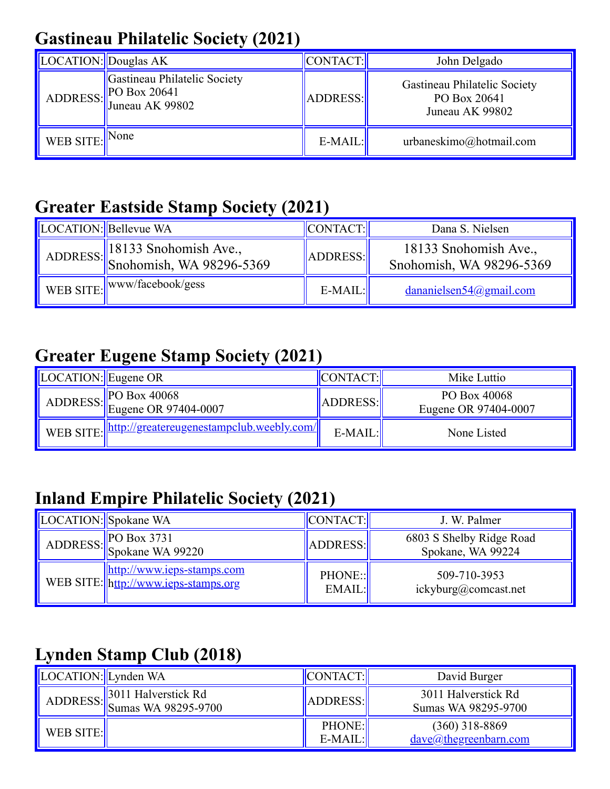## **Gastineau Philatelic Society (2021)**

| LOCATION: Douglas AK |                                                                                                                 | <b>CONTACT:</b> | John Delgado                                                    |
|----------------------|-----------------------------------------------------------------------------------------------------------------|-----------------|-----------------------------------------------------------------|
|                      | Gastineau Philatelic Society<br>ADDRESS: $\begin{array}{ l }\n\text{P0 Box 20641}\n\end{array}$ Juneau AK 99802 | ADDRESS:        | Gastineau Philatelic Society<br>PO Box 20641<br>Juneau AK 99802 |
| WEB SITE:            | None                                                                                                            | $E-MAIL:$       | urbaneskimo@hotmail.com                                         |

#### **Greater Eastside Stamp Society (2021)**

| LOCATION: Bellevue WA                                                                                               | CONTACT:         | Dana S. Nielsen                                   |
|---------------------------------------------------------------------------------------------------------------------|------------------|---------------------------------------------------|
| ADDRESS: $\begin{array}{ l l } 18133 & \text{Snohomish Ave.}, \ \hline \text{Snohomish, WA 98296-5369} \end{array}$ | ADDRESS:         | 18133 Snohomish Ave.,<br>Snohomish, WA 98296-5369 |
| WEB SITE: www/facebook/gess                                                                                         | $E\text{-}MAIL:$ | $d$ ananielsen $54$ @gmail.com                    |

### **Greater Eugene Stamp Society (2021)**

| $\vert$ LOCATION: $\vert$ Eugene OR |                                                       | CONTACT:        | Mike Luttio                          |
|-------------------------------------|-------------------------------------------------------|-----------------|--------------------------------------|
|                                     | ADDRESS: $P$ O Box 40068<br>Eugene OR 97404-0007      | <b>ADDRESS:</b> | PO Box 40068<br>Eugene OR 97404-0007 |
|                                     | WEB SITE:   http://greatereugenestampclub.weebly.com/ | $E-MAIL$ :      | None Listed                          |

## **Inland Empire Philatelic Society (2021)**

| <b>LOCATION:</b> Spokane WA |                                                                    | CONTACT:          | J. W. Palmer                                  |
|-----------------------------|--------------------------------------------------------------------|-------------------|-----------------------------------------------|
|                             | ADDRESS: $P$ O Box 3731<br>Spokane WA 99220                        | ADDRESS:          | 6803 S Shelby Ridge Road<br>Spokane, WA 99224 |
|                             | http://www.ieps-stamps.com<br>WEB SITE: http://www.ieps-stamps.org | PHONE::<br>EMAIL: | 509-710-3953<br>ickyburg@comcast.net          |

## **Lynden Stamp Club (2018)**

| LOCATION: Lynden WA |                                                     | CONTACT:                   | David Burger                               |
|---------------------|-----------------------------------------------------|----------------------------|--------------------------------------------|
|                     | ADDRESS: $\frac{3011}{\text{Sunas WA } 98295-9700}$ | ADDRESS:                   | 3011 Halverstick Rd<br>Sumas WA 98295-9700 |
| WEB SITE:           |                                                     | <b>PHONE:</b><br>$E-MAIL:$ | $(360)$ 318-8869<br>dave@thegreenbarn.com  |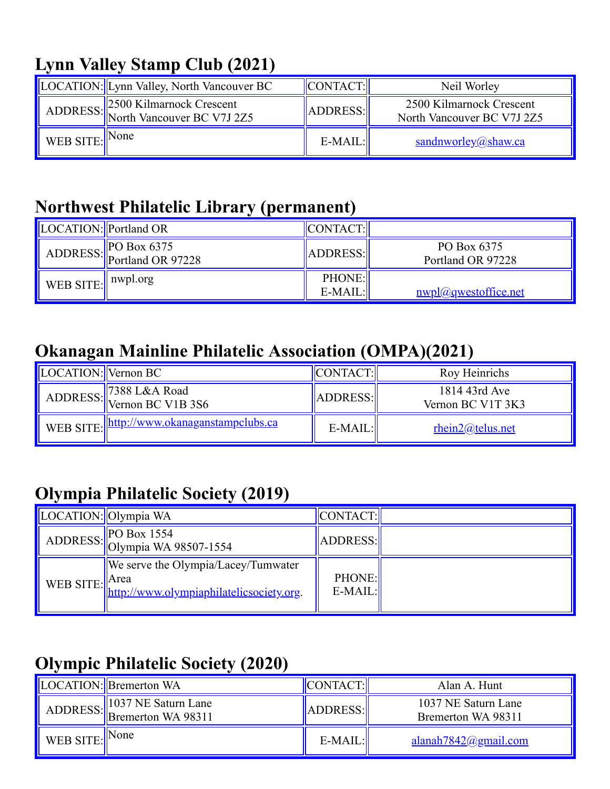## **Lynn Valley Stamp Club (2021)**

|                            | LOCATION: Lynn Valley, North Vancouver BC                       | CONTACT:  | Neil Worley                                            |
|----------------------------|-----------------------------------------------------------------|-----------|--------------------------------------------------------|
|                            | ADDRESS: 2500 Kilmarnock Crescent<br>North Vancouver BC V7J 2Z5 | ADDRESS:  | 2500 Kilmarnock Crescent<br>North Vancouver BC V7J 2Z5 |
| WEB SITE: $\parallel$ None |                                                                 | $E-MAIL:$ | $sandn\textrm{worley}(a)$ shaw.ca                      |

#### **Northwest Philatelic Library (permanent)**

| LOCATION: Portland OR |                                              | CONTACT:             |                                  |
|-----------------------|----------------------------------------------|----------------------|----------------------------------|
|                       | ADDRESS: $P$ O Box 6375<br>Portland OR 97228 | ADDRESS:             | PO Box 6375<br>Portland OR 97228 |
| WEB SITE: nwpl.org    |                                              | PHONE:<br>$E$ -MAIL: | <u>nwpl</u> @qwestoffice.net     |

#### **Okanagan Mainline Philatelic Association (OMPA)(2021)**

| LOCATION: Vernon BC |                                             | CONTACT:        | Roy Heinrichs                      |
|---------------------|---------------------------------------------|-----------------|------------------------------------|
|                     | ADDRESS: 7388 L&A Road<br>Vernon BC V1B 3S6 | <b>ADDRESS:</b> | 1814 43rd Ave<br>Vernon BC V1T 3K3 |
|                     | WEB SITE: http://www.okanaganstampclubs.ca  | $E-MAIL:$       | rhein2@telus.net                   |

## **Olympia Philatelic Society (2019)**

| LOCATION: Olympia WA |                                                                                                           | CONTACT:                   |  |
|----------------------|-----------------------------------------------------------------------------------------------------------|----------------------------|--|
|                      | ADDRESS: $\vert$ PO Box 1554<br>Olympia WA 98507-1554                                                     | ADDRESS:                   |  |
|                      | We serve the Olympia/Lacey/Tumwater<br>WEB SITE: Area<br><u>http://www.olympiaphilatelicsociety.org</u> . | <b>PHONE:</b><br>$E-MAIL:$ |  |

## **Olympic Philatelic Society (2020)**

|                                                   | LOCATION: Bremerton WA      | CONTACT:  | Alan A. Hunt                              |
|---------------------------------------------------|-----------------------------|-----------|-------------------------------------------|
|                                                   | ADDRESS: Bremerton WA 98311 | ADDRESS:  | 1037 NE Saturn Lane<br>Bremerton WA 98311 |
| $\sqrt{\ }$ WEB SITE: $\sqrt{\ }$ <sup>None</sup> |                             | $E-MAIL:$ | $alanah7842$ <i>(a)</i> gmail.com         |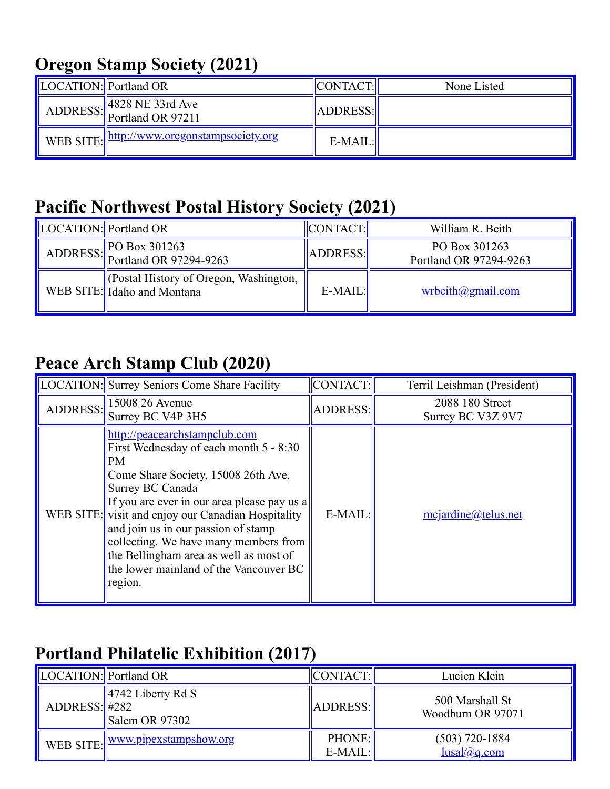### **Oregon Stamp Society (2021)**

| LOCATION:  Portland OR |                                               | CONTACT:        | None Listed |
|------------------------|-----------------------------------------------|-----------------|-------------|
|                        | ADDRESS: 828 NE 33rd Ave                      | <b>ADDRESS:</b> |             |
|                        | WEB SITE:   http://www.oregonstampsociety.org | $E-MAIL:$       |             |

### **Pacific Northwest Postal History Society (2021)**

| LOCATION: Portland OR |                                                                      | CONTACT:  | William R. Beith                        |
|-----------------------|----------------------------------------------------------------------|-----------|-----------------------------------------|
|                       | ADDRESS: PO Box 301263<br>Portland OR 97294-9263                     | ADDRESS:  | PO Box 301263<br>Portland OR 97294-9263 |
|                       | Costal History of Oregon, Washington,<br>WEB SITE: Idaho and Montana | $E-MAIL:$ | $w$ rbeith@gmail.com                    |

### **Peace Arch Stamp Club (2020)**

| LOCATION: Surrey Seniors Come Share Facility                                                                                                                                                                                                                                                                                                                                                                                        | CONTACT:        | Terril Leishman (President)          |
|-------------------------------------------------------------------------------------------------------------------------------------------------------------------------------------------------------------------------------------------------------------------------------------------------------------------------------------------------------------------------------------------------------------------------------------|-----------------|--------------------------------------|
| ADDRESS: $\left\  \frac{15008}{26} \frac{26}{264} \right\ $<br>Surrey BC V4P 3H5                                                                                                                                                                                                                                                                                                                                                    | <b>ADDRESS:</b> | 2088 180 Street<br>Surrey BC V3Z 9V7 |
| http://peacearchstampclub.com<br>First Wednesday of each month 5 - 8:30<br><b>PM</b><br>Come Share Society, 15008 26th Ave,<br>Surrey BC Canada<br>If you are ever in our area please pay us a<br>WEB SITE: visit and enjoy our Canadian Hospitality<br>and join us in our passion of stamp<br>collecting. We have many members from<br>the Bellingham area as well as most of<br>the lower mainland of the Vancouver BC<br>region. | E-MAIL:         | mejardine@telus.net                  |

### **Portland Philatelic Exhibition (2017)**

| LOCATION: Portland OR     |                                                 | CONTACT:            | Lucien Klein                         |
|---------------------------|-------------------------------------------------|---------------------|--------------------------------------|
| $ADDRESS:\vert\vert\#282$ | $\parallel$ 4742 Liberty Rd S<br>Salem OR 97302 | ADDRESS:            | 500 Marshall St<br>Woodburn OR 97071 |
|                           | WEB SITE: <u>Www.pipexstampshow.org</u>         | PHONE:<br>$E-MAIL:$ | $(503)$ 720-1884<br>lusal@q.com      |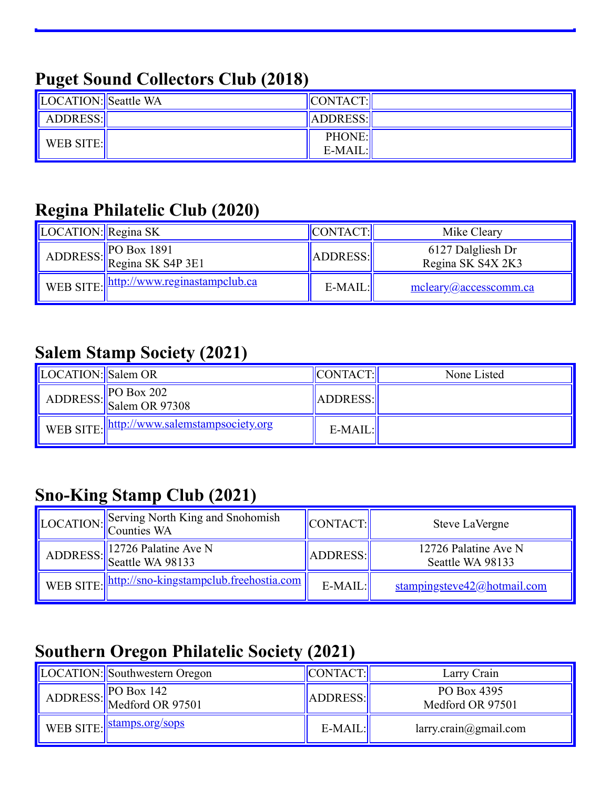### **Puget Sound Collectors Club (2018)**

| LOCATION: Seattle WA | $\ $ CONTACT: $\ $          |  |
|----------------------|-----------------------------|--|
| ADDRESS:             | ADDRESS:                    |  |
| WEB SITE:            | <b>PHONE:</b><br>$E-MAIL$ : |  |

### **Regina Philatelic Club (2020)**

| LOCATION: Regina SK |                                                                                                  | CONTACT:  | Mike Cleary                            |
|---------------------|--------------------------------------------------------------------------------------------------|-----------|----------------------------------------|
|                     | ADDRESS: $\begin{array}{ l l }\n\hline\n\text{ADDRESS:} & \text{Regina SK S4P 3E1}\n\end{array}$ | ADDRESS:  | 6127 Dalgliesh Dr<br>Regina SK S4X 2K3 |
|                     | WEB SITE:    http://www.reginastampclub.ca                                                       | $E-MAIL:$ | mcleary@accesscomm.ca                  |

#### **Salem Stamp Society (2021)**

| LOCATION: Salem OR |                                              | CONTACT:  | None Listed |
|--------------------|----------------------------------------------|-----------|-------------|
|                    | ADDRESS: Salem OR 97308                      | ADDRESS:  |             |
|                    | WEB SITE:   http://www.salemstampsociety.org | $E-MAIL:$ |             |

## **Sno-King Stamp Club (2021)**

| LOCATION: Serving North King and Snohomish        | CONTACT:  | Steve LaVergne                           |
|---------------------------------------------------|-----------|------------------------------------------|
| ADDRESS: 12726 Palatine Ave N<br>Seattle WA 98133 | ADDRESS:  | 12726 Palatine Ave N<br>Seattle WA 98133 |
| WEB SITE: http://sno-kingstampclub.freehostia.com | $E-MAIL:$ | stampingsteve42@hotmail.com              |

## **Southern Oregon Philatelic Society (2021)**

| LOCATION: Southwestern Oregon                                                                                    | ' CONTACT: | Larry Crain                     |
|------------------------------------------------------------------------------------------------------------------|------------|---------------------------------|
| ADDRESS: $\begin{array}{ l l }\n\hline\n\text{RO Box 142}\n\hline\n\text{Medford OR 97501}\n\hline\n\end{array}$ | ADDRESS:   | PO Box 4395<br>Medford OR 97501 |
| WEB SITE: stamps.org/sops                                                                                        | $E-MAIL:$  | larry. crain@gmail.com          |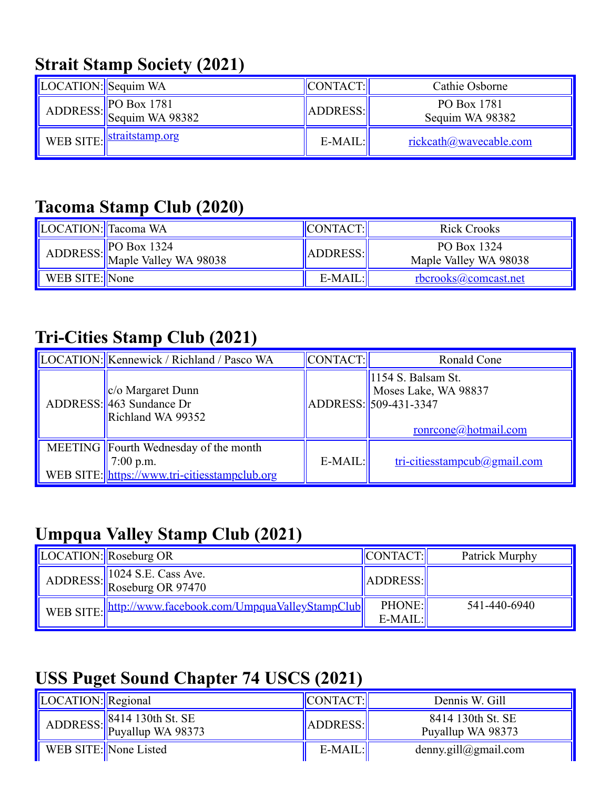## **Strait Stamp Society (2021)**

| LOCATION: Sequim WA |                                                                                                                  | CONTACT:  | Cathie Osborne                 |
|---------------------|------------------------------------------------------------------------------------------------------------------|-----------|--------------------------------|
|                     | ADDRESS: $\begin{array}{ l l }\n\hline\n\text{PO Box 1781}\n\hline\n\text{Sequim WA 98382}\n\hline\n\end{array}$ | ADDRESS:  | PO Box 1781<br>Sequim WA 98382 |
|                     | WEB SITE: <i>straitstamp.org</i>                                                                                 | $E-MAIL:$ | <u>rickcath@wavecable.com</u>  |

#### **Tacoma Stamp Club (2020)**

| LOCATION: Tacoma WA |                                                                                                                  | <b>CONTACT:</b> | Rick Crooks                          |
|---------------------|------------------------------------------------------------------------------------------------------------------|-----------------|--------------------------------------|
|                     | ADDRESS: $\begin{array}{ l l }\n\hline\n\text{RO Box 1324} \\ \hline\n\text{Maple Valley WA 98038}\n\end{array}$ | <b>ADDRESS:</b> | PO Box 1324<br>Maple Valley WA 98038 |
| WEB SITE: None      |                                                                                                                  | $E-MAIL:$       | rbcrooks@comcast.net                 |

### **Tri-Cities Stamp Club (2021)**

| LOCATION: Kennewick / Richland / Pasco WA                                                             | CONTACT:  | Ronald Cone                                                                                             |
|-------------------------------------------------------------------------------------------------------|-----------|---------------------------------------------------------------------------------------------------------|
| $ c/\sigma$ Margaret Dunn<br>ADDRESS: 463 Sundance Dr<br>Richland WA 99352                            |           | $\parallel$ 1154 S. Balsam St.<br>Moses Lake, WA 98837<br>ADDRESS: 509-431-3347<br>ronrcone@hotmail.com |
| MEETING Fourth Wednesday of the month<br>$7:00$ p.m.<br>WEB SITE: https://www.tri-citiesstampclub.org | $E-MAIL:$ | tri-citiesstampcub@gmail.com                                                                            |

### **Umpqua Valley Stamp Club (2021)**

| LOCATION: Roseburg OR                                     | CONTACT:                   | Patrick Murphy |
|-----------------------------------------------------------|----------------------------|----------------|
| ADDRESS: 1024 S.E. Cass Ave.<br>Roseburg OR 97470         | ADDRESS:                   |                |
| WEB SITE:   http://www.facebook.com/UmpquaValleyStampClub | <b>PHONE:</b><br>$E-MAIL:$ | 541-440-6940   |

### **USS Puget Sound Chapter 74 USCS (2021)**

| LOCATION: Regional |                                                                                                                                         | <b>CONTACT:</b> | Dennis W. Gill                         |
|--------------------|-----------------------------------------------------------------------------------------------------------------------------------------|-----------------|----------------------------------------|
|                    | ADDRESS: $\begin{array}{ l l } \hline 8414 & 130 \text{th} \text{ St.} \text{ } \\ \hline \text{Puyallup WA } 98373 \hline \end{array}$ | ADDRESS:        | 8414 130th St. SE<br>Puyallup WA 98373 |
|                    | WEB SITE: None Listed                                                                                                                   | $E-MAIL:$       | denny.gill@gmail.com                   |